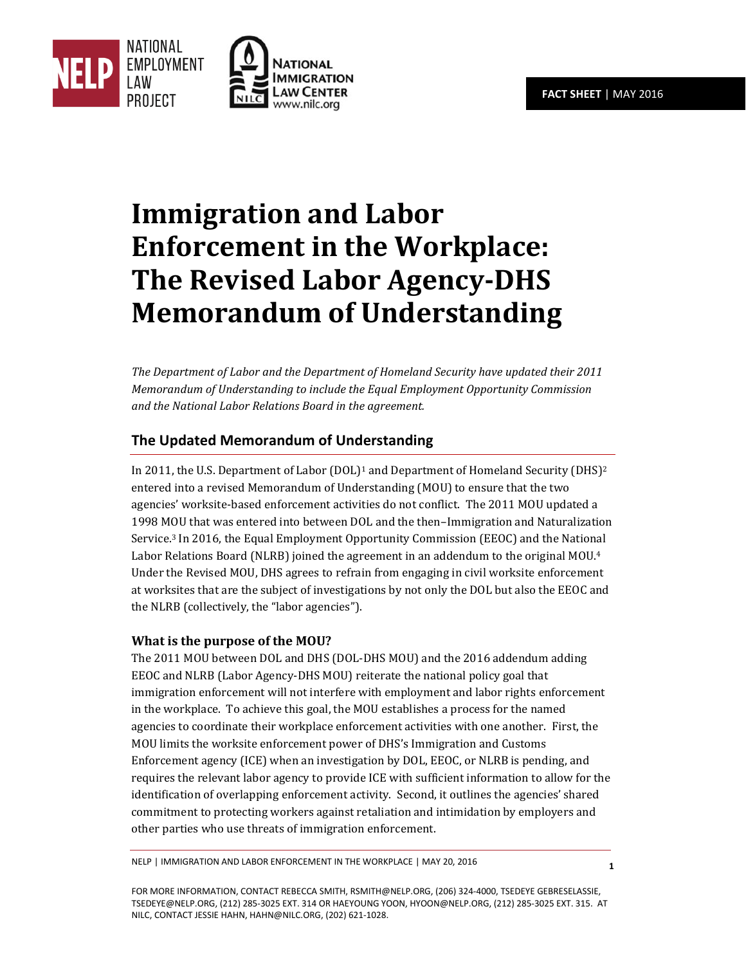**1**





# **Immigration and Labor Enforcement in the Workplace: The Revised Labor Agency-DHS Memorandum of Understanding**

*The Department of Labor and the Department of Homeland Security have updated their 2011 Memorandum of Understanding to include the Equal Employment Opportunity Commission and the National Labor Relations Board in the agreement.* 

# **The Updated Memorandum of Understanding**

In 2011, the U.S. Department of Labor  $(DOL)^1$  and Department of Homeland Security  $(DHS)^2$ entered into a revised Memorandum of Understanding (MOU) to ensure that the two agencies' worksite‐based enforcement activities do not conflict. The 2011 MOU updated a 1998 MOU that was entered into between DOL and the then–Immigration and Naturalization Service.3 In 2016, the Equal Employment Opportunity Commission (EEOC) and the National Labor Relations Board (NLRB) joined the agreement in an addendum to the original MOU.<sup>4</sup> Under the Revised MOU, DHS agrees to refrain from engaging in civil worksite enforcement at worksites that are the subject of investigations by not only the DOL but also the EEOC and the NLRB (collectively, the "labor agencies").

### **What is the purpose of the MOU?**

The 2011 MOU between DOL and DHS (DOL-DHS MOU) and the 2016 addendum adding EEOC and NLRB (Labor Agency-DHS MOU) reiterate the national policy goal that immigration enforcement will not interfere with employment and labor rights enforcement in the workplace. To achieve this goal, the MOU establishes a process for the named agencies to coordinate their workplace enforcement activities with one another. First, the MOU limits the worksite enforcement power of DHS's Immigration and Customs Enforcement agency (ICE) when an investigation by DOL, EEOC, or NLRB is pending, and requires the relevant labor agency to provide ICE with sufficient information to allow for the identification of overlapping enforcement activity. Second, it outlines the agencies' shared commitment to protecting workers against retaliation and intimidation by employers and other parties who use threats of immigration enforcement.

NELP | IMMIGRATION AND LABOR ENFORCEMENT IN THE WORKPLACE | MAY 20, 2016

FOR MORE INFORMATION, CONTACT REBECCA SMITH, RSMITH@NELP.ORG, (206) 324‐4000, TSEDEYE GEBRESELASSIE, TSEDEYE@NELP.ORG, (212) 285‐3025 EXT. 314 OR HAEYOUNG YOON, HYOON@NELP.ORG, (212) 285‐3025 EXT. 315. AT NILC, CONTACT JESSIE HAHN, HAHN@NILC.ORG, (202) 621‐1028.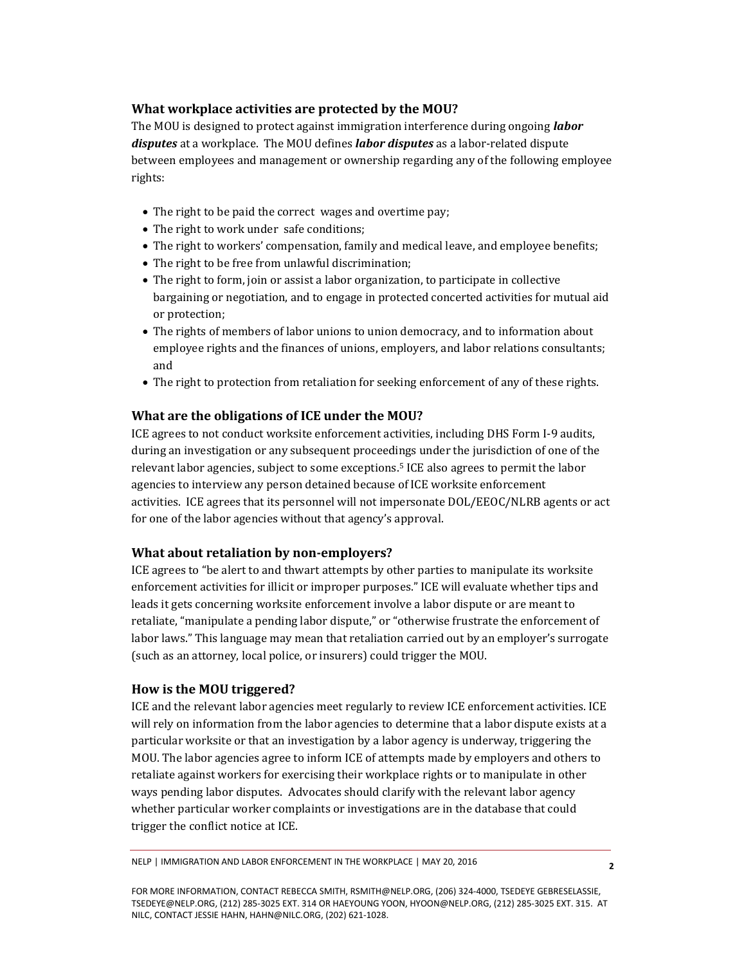### **What workplace activities are protected by the MOU?**

The MOU is designed to protect against immigration interference during ongoing *labor disputes* at a workplace. The MOU defines *labor disputes* as a labor-related dispute between employees and management or ownership regarding any of the following employee rights:

- The right to be paid the correct wages and overtime pay;
- The right to work under safe conditions;
- The right to workers' compensation, family and medical leave, and employee benefits;
- The right to be free from unlawful discrimination;
- The right to form, join or assist a labor organization, to participate in collective bargaining or negotiation, and to engage in protected concerted activities for mutual aid or protection;
- The rights of members of labor unions to union democracy, and to information about employee rights and the finances of unions, employers, and labor relations consultants; and
- The right to protection from retaliation for seeking enforcement of any of these rights.

## **What are the obligations of ICE under the MOU?**

ICE agrees to not conduct worksite enforcement activities, including DHS Form I‐9 audits, during an investigation or any subsequent proceedings under the jurisdiction of one of the relevant labor agencies, subject to some exceptions.5 ICE also agrees to permit the labor agencies to interview any person detained because of ICE worksite enforcement activities. ICE agrees that its personnel will not impersonate DOL/EEOC/NLRB agents or act for one of the labor agencies without that agency's approval.

### **What about retaliation by non‐employers?**

ICE agrees to "be alert to and thwart attempts by other parties to manipulate its worksite enforcement activities for illicit or improper purposes." ICE will evaluate whether tips and leads it gets concerning worksite enforcement involve a labor dispute or are meant to retaliate, "manipulate a pending labor dispute," or "otherwise frustrate the enforcement of labor laws." This language may mean that retaliation carried out by an employer's surrogate (such as an attorney, local police, or insurers) could trigger the MOU.

### **How is the MOU triggered?**

ICE and the relevant labor agencies meet regularly to review ICE enforcement activities. ICE will rely on information from the labor agencies to determine that a labor dispute exists at a particular worksite or that an investigation by a labor agency is underway, triggering the MOU. The labor agencies agree to inform ICE of attempts made by employers and others to retaliate against workers for exercising their workplace rights or to manipulate in other ways pending labor disputes. Advocates should clarify with the relevant labor agency whether particular worker complaints or investigations are in the database that could trigger the conflict notice at ICE.

FOR MORE INFORMATION, CONTACT REBECCA SMITH, RSMITH@NELP.ORG, (206) 324‐4000, TSEDEYE GEBRESELASSIE, TSEDEYE@NELP.ORG, (212) 285‐3025 EXT. 314 OR HAEYOUNG YOON, HYOON@NELP.ORG, (212) 285‐3025 EXT. 315. AT NILC, CONTACT JESSIE HAHN, HAHN@NILC.ORG, (202) 621‐1028.

NELP | IMMIGRATION AND LABOR ENFORCEMENT IN THE WORKPLACE | MAY 20, 2016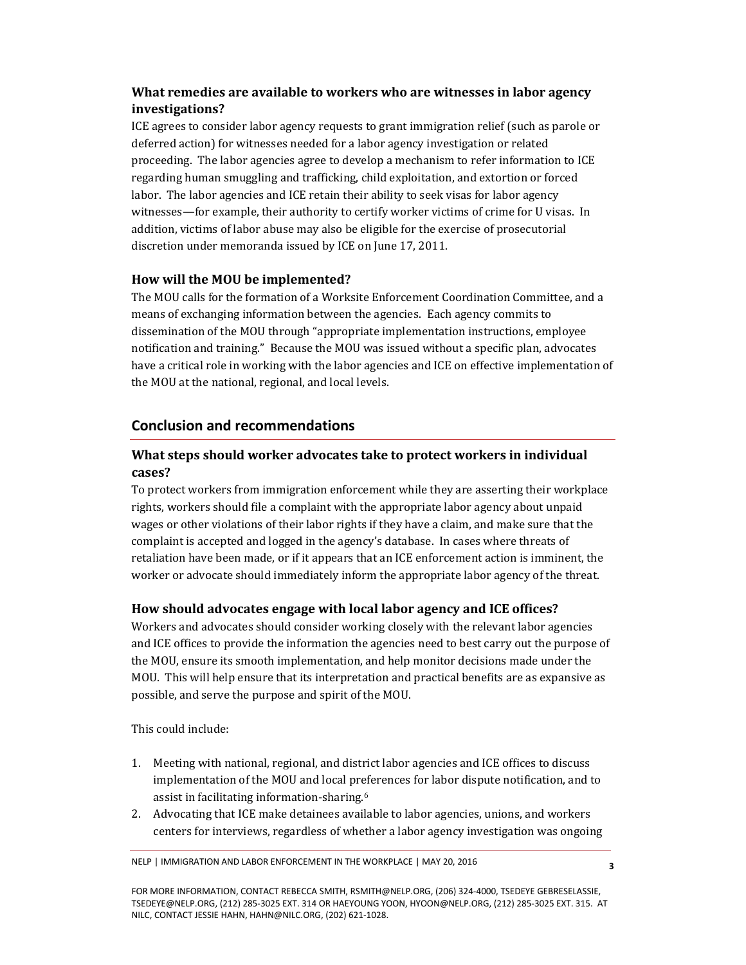## **What remedies are available to workers who are witnesses in labor agency investigations?**

ICE agrees to consider labor agency requests to grant immigration relief (such as parole or deferred action) for witnesses needed for a labor agency investigation or related proceeding. The labor agencies agree to develop a mechanism to refer information to ICE regarding human smuggling and trafficking, child exploitation, and extortion or forced labor. The labor agencies and ICE retain their ability to seek visas for labor agency witnesses—for example, their authority to certify worker victims of crime for U visas. In addition, victims of labor abuse may also be eligible for the exercise of prosecutorial discretion under memoranda issued by ICE on June 17, 2011.

## **How will the MOU be implemented?**

The MOU calls for the formation of a Worksite Enforcement Coordination Committee, and a means of exchanging information between the agencies. Each agency commits to dissemination of the MOU through "appropriate implementation instructions, employee notification and training." Because the MOU was issued without a specific plan, advocates have a critical role in working with the labor agencies and ICE on effective implementation of the MOU at the national, regional, and local levels.

## **Conclusion and recommendations**

## **What steps should worker advocates take to protect workers in individual cases?**

To protect workers from immigration enforcement while they are asserting their workplace rights, workers should file a complaint with the appropriate labor agency about unpaid wages or other violations of their labor rights if they have a claim, and make sure that the complaint is accepted and logged in the agency's database. In cases where threats of retaliation have been made, or if it appears that an ICE enforcement action is imminent, the worker or advocate should immediately inform the appropriate labor agency of the threat.

## **How should advocates engage with local labor agency and ICE offices?**

Workers and advocates should consider working closely with the relevant labor agencies and ICE offices to provide the information the agencies need to best carry out the purpose of the MOU, ensure its smooth implementation, and help monitor decisions made under the MOU. This will help ensure that its interpretation and practical benefits are as expansive as possible, and serve the purpose and spirit of the MOU.

This could include:

- 1. Meeting with national, regional, and district labor agencies and ICE offices to discuss implementation of the MOU and local preferences for labor dispute notification, and to assist in facilitating information‐sharing.<sup>6</sup>
- 2. Advocating that ICE make detainees available to labor agencies, unions, and workers centers for interviews, regardless of whether a labor agency investigation was ongoing

NELP | IMMIGRATION AND LABOR ENFORCEMENT IN THE WORKPLACE | MAY 20, 2016